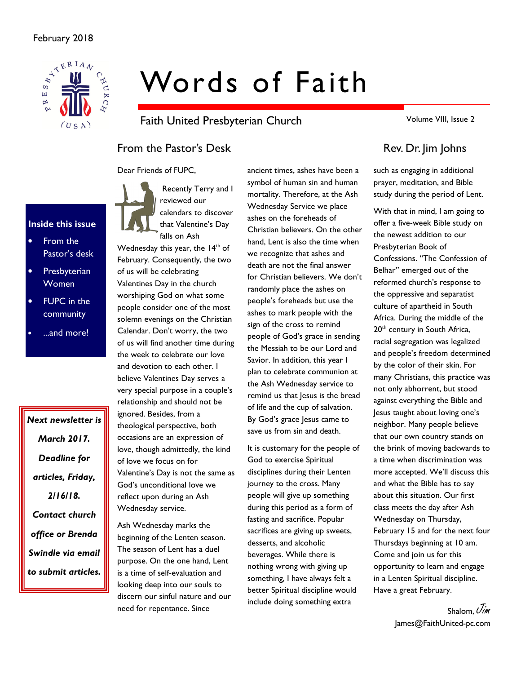

# Words of Faith

Faith United Presbyterian Church

Volume VIII, Issue 2

# From the Pastor's Desk Rev. Dr. Jim Johns

Dear Friends of FUPC,



• From the Pastor's desk

Inside this issue

- **Presbyterian** Women
- FUPC in the community
- ...and more!

Next newsletter is March 2017. Deadline for articles, Friday, 2/16/18. Contact church office or Brenda Swindle via email to submit articles.

 Recently Terry and I reviewed our calendars to discover that Valentine's Day falls on Ash

Wednesday this year, the 14<sup>th</sup> of February. Consequently, the two of us will be celebrating Valentines Day in the church worshiping God on what some people consider one of the most solemn evenings on the Christian Calendar. Don't worry, the two of us will find another time during the week to celebrate our love and devotion to each other. I believe Valentines Day serves a very special purpose in a couple's relationship and should not be ignored. Besides, from a theological perspective, both occasions are an expression of love, though admittedly, the kind of love we focus on for Valentine's Day is not the same as God's unconditional love we reflect upon during an Ash Wednesday service.

Ash Wednesday marks the beginning of the Lenten season. The season of Lent has a duel purpose. On the one hand, Lent is a time of self-evaluation and looking deep into our souls to discern our sinful nature and our need for repentance. Since

ancient times, ashes have been a symbol of human sin and human mortality. Therefore, at the Ash Wednesday Service we place ashes on the foreheads of Christian believers. On the other hand, Lent is also the time when we recognize that ashes and death are not the final answer for Christian believers. We don't randomly place the ashes on people's foreheads but use the ashes to mark people with the sign of the cross to remind people of God's grace in sending the Messiah to be our Lord and Savior. In addition, this year I plan to celebrate communion at the Ash Wednesday service to remind us that Jesus is the bread of life and the cup of salvation. By God's grace Jesus came to save us from sin and death.

It is customary for the people of God to exercise Spiritual disciplines during their Lenten journey to the cross. Many people will give up something during this period as a form of fasting and sacrifice. Popular sacrifices are giving up sweets, desserts, and alcoholic beverages. While there is nothing wrong with giving up something, I have always felt a better Spiritual discipline would include doing something extra

such as engaging in additional prayer, meditation, and Bible study during the period of Lent.

With that in mind, I am going to offer a five-week Bible study on the newest addition to our Presbyterian Book of Confessions. "The Confession of Belhar" emerged out of the reformed church's response to the oppressive and separatist culture of apartheid in South Africa. During the middle of the 20<sup>th</sup> century in South Africa, racial segregation was legalized and people's freedom determined by the color of their skin. For many Christians, this practice was not only abhorrent, but stood against everything the Bible and Jesus taught about loving one's neighbor. Many people believe that our own country stands on the brink of moving backwards to a time when discrimination was more accepted. We'll discuss this and what the Bible has to say about this situation. Our first class meets the day after Ash Wednesday on Thursday, February 15 and for the next four Thursdays beginning at 10 am. Come and join us for this opportunity to learn and engage in a Lenten Spiritual discipline. Have a great February.

> Shalom,  $\mathcal{J}_{\mathcal{U}}^{\prime}$ James@FaithUnited-pc.com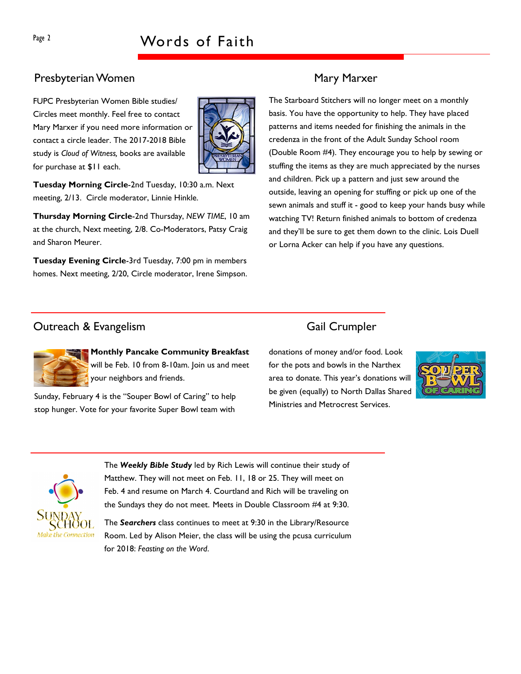# Presbyterian Women Mary Marxer

FUPC Presbyterian Women Bible studies/ Circles meet monthly. Feel free to contact Mary Marxer if you need more information or contact a circle leader. The 2017-2018 Bible study is Cloud of Witness, books are available for purchase at \$11 each.



Tuesday Morning Circle-2nd Tuesday, 10:30 a.m. Next meeting, 2/13. Circle moderator, Linnie Hinkle.

Thursday Morning Circle-2nd Thursday, NEW TIME, 10 am at the church, Next meeting, 2/8. Co-Moderators, Patsy Craig and Sharon Meurer.

Tuesday Evening Circle-3rd Tuesday, 7:00 pm in members homes. Next meeting, 2/20, Circle moderator, Irene Simpson.

The Starboard Stitchers will no longer meet on a monthly basis. You have the opportunity to help. They have placed patterns and items needed for finishing the animals in the credenza in the front of the Adult Sunday School room (Double Room #4). They encourage you to help by sewing or stuffing the items as they are much appreciated by the nurses and children. Pick up a pattern and just sew around the outside, leaving an opening for stuffing or pick up one of the sewn animals and stuff it - good to keep your hands busy while watching TV! Return finished animals to bottom of credenza and they'll be sure to get them down to the clinic. Lois Duell or Lorna Acker can help if you have any questions.

# **Outreach & Evangelism** Gail Crumpler

Monthly Pancake Community Breakfast will be Feb. 10 from 8-10am. Join us and meet your neighbors and friends.

Sunday, February 4 is the "Souper Bowl of Caring" to help stop hunger. Vote for your favorite Super Bowl team with

donations of money and/or food. Look for the pots and bowls in the Narthex area to donate. This year's donations will be given (equally) to North Dallas Shared Ministries and Metrocrest Services.





The Weekly Bible Study led by Rich Lewis will continue their study of Matthew. They will not meet on Feb. 11, 18 or 25. They will meet on Feb. 4 and resume on March 4. Courtland and Rich will be traveling on the Sundays they do not meet. Meets in Double Classroom #4 at 9:30.

The Searchers class continues to meet at 9:30 in the Library/Resource Room. Led by Alison Meier, the class will be using the pcusa curriculum for 2018: Feasting on the Word.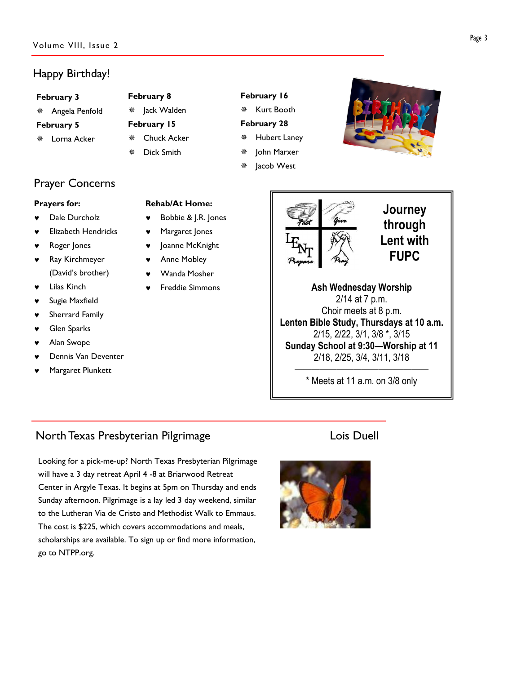# Happy Birthday!

### February 3

Angela Penfold

### February 5

Lorna Acker

# February 8

- ※ Jack Walden
- February 15 Chuck Acker
- Dick Smith
- Kurt Booth February 28
	- Hubert Laney

February 16

- John Marxer
- Jacob West



### Prayers for:

- Dale Durcholz
- **Elizabeth Hendricks**
- Roger Jones
- Ray Kirchmeyer (David's brother)
- **Lilas Kinch**
- Sugie Maxfield
- Sherrard Family
- Glen Sparks
- Alan Swope
- Dennis Van Deventer
- Margaret Plunkett

## Rehab/At Home:

- Bobbie & J.R. Jones
- ♥ Margaret Jones
- ♥ Joanne McKnight
- Anne Mobley
- Wanda Mosher
- **Freddie Simmons**



# Journey through Lent with FUPC

Ash Wednesday Worship 2/14 at 7 p.m. Choir meets at 8 p.m. Lenten Bible Study, Thursdays at 10 a.m. 2/15, 2/22, 3/1, 3/8 \*, 3/15 Sunday School at 9:30—Worship at 11 2/18, 2/25, 3/4, 3/11, 3/18

———————————————— \* Meets at 11 a.m. on 3/8 only

# North Texas Presbyterian Pilgrimage **Louis Constant Constant Constant** Lois Duell

Looking for a pick-me-up? North Texas Presbyterian Pilgrimage will have a 3 day retreat April 4 -8 at Briarwood Retreat Center in Argyle Texas. It begins at 5pm on Thursday and ends Sunday afternoon. Pilgrimage is a lay led 3 day weekend, similar to the Lutheran Via de Cristo and Methodist Walk to Emmaus. The cost is \$225, which covers accommodations and meals, scholarships are available. To sign up or find more information, go to NTPP.org.